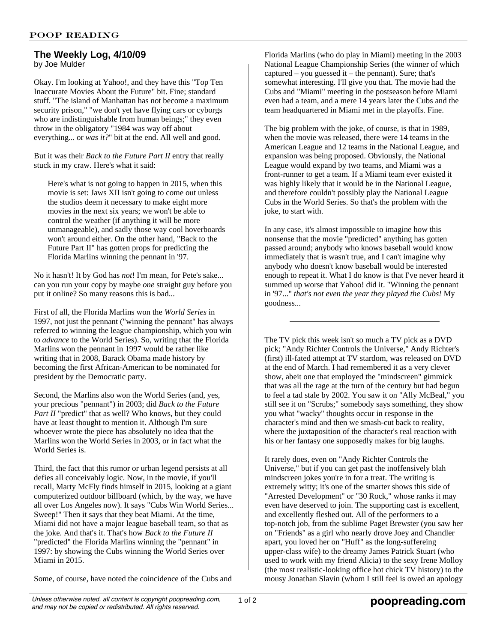## **The Weekly Log, 4/10/09** by Joe Mulder

Okay. I'm looking at Yahoo!, and they have this "Top Ten Inaccurate Movies About the Future" bit. Fine; standard stuff. "The island of Manhattan has not become a maximum security prison," "we don't yet have flying cars or cyborgs who are indistinguishable from human beings;" they even throw in the obligatory "1984 was way off about everything... or *was it?*" bit at the end. All well and good.

But it was their *Back to the Future Part II* entry that really stuck in my craw. Here's what it said:

Here's what is not going to happen in 2015, when this movie is set: Jaws XII isn't going to come out unless the studios deem it necessary to make eight more movies in the next six years; we won't be able to control the weather (if anything it will be more unmanageable), and sadly those way cool hoverboards won't around either. On the other hand, "Back to the Future Part II" has gotten props for predicting the Florida Marlins winning the pennant in '97.

No it hasn't! It by God has *not*! I'm mean, for Pete's sake... can you run your copy by maybe *one* straight guy before you put it online? So many reasons this is bad...

First of all, the Florida Marlins won the *World Series* in 1997, not just the pennant ("winning the pennant" has always referred to winning the league championship, which you win to *advance* to the World Series). So, writing that the Florida Marlins won the pennant in 1997 would be rather like writing that in 2008, Barack Obama made history by becoming the first African-American to be nominated for president by the Democratic party.

Second, the Marlins also won the World Series (and, yes, your precious "pennant") in 2003; did *Back to the Future* Part II "predict" that as well? Who knows, but they could have at least thought to mention it. Although I'm sure whoever wrote the piece has absolutely no idea that the Marlins won the World Series in 2003, or in fact what the World Series is.

Third, the fact that this rumor or urban legend persists at all defies all conceivably logic. Now, in the movie, if you'll recall, Marty McFly finds himself in 2015, looking at a giant computerized outdoor billboard (which, by the way, we have all over Los Angeles now). It says "Cubs Win World Series... Sweep!" Then it says that they beat Miami. At the time, Miami did not have a major league baseball team, so that as the joke. And that's it. That's how *Back to the Future II* "predicted" the Florida Marlins winning the "pennant" in 1997: by showing the Cubs winning the World Series over Miami in 2015.

Some, of course, have noted the coincidence of the Cubs and

Florida Marlins (who do play in Miami) meeting in the 2003 National League Championship Series (the winner of which captured – you guessed it – the pennant). Sure; that's somewhat interesting. I'll give you that. The movie had the Cubs and "Miami" meeting in the postseason before Miami even had a team, and a mere 14 years later the Cubs and the team headquartered in Miami met in the playoffs. Fine.

The big problem with the joke, of course, is that in 1989, when the movie was released, there were 14 teams in the American League and 12 teams in the National League, and expansion was being proposed. Obviously, the National League would expand by two teams, and Miami was a front-runner to get a team. If a Miami team ever existed it was highly likely that it would be in the National League, and therefore couldn't possibly play the National League Cubs in the World Series. So that's the problem with the joke, to start with.

In any case, it's almost impossible to imagine how this nonsense that the movie "predicted" anything has gotten passed around; anybody who knows baseball would know immediately that is wasn't true, and I can't imagine why anybody who doesn't know baseball would be interested enough to repeat it. What I do know is that I've never heard it summed up worse that Yahoo! did it. "Winning the pennant in '97..." *that's not even the year they played the Cubs!* My goodness...

The TV pick this week isn't so much a TV pick as a DVD pick; "Andy Richter Controls the Universe," Andy Richter's (first) ill-fated attempt at TV stardom, was released on DVD at the end of March. I had remembered it as a very clever show, abeit one that employed the "mindscreen" gimmick that was all the rage at the turn of the century but had begun to feel a tad stale by 2002. You saw it on "Ally McBeal," you still see it on "Scrubs;" somebody says something, they show you what "wacky" thoughts occur in response in the character's mind and then we smash-cut back to reality, where the juxtaposition of the character's real reaction with his or her fantasy one supposedly makes for big laughs.

It rarely does, even on "Andy Richter Controls the Universe," but if you can get past the inoffensively blah mindscreen jokes you're in for a treat. The writing is extremely witty; it's one of the smarter shows this side of "Arrested Development" or "30 Rock," whose ranks it may even have deserved to join. The supporting cast is excellent, and excellently fleshed out. All of the performers to a top-notch job, from the sublime Paget Brewster (you saw her on "Friends" as a girl who nearly drove Joey and Chandler apart, you loved her on "Huff" as the long-suffereing upper-class wife) to the dreamy James Patrick Stuart (who used to work with my friend Alicia) to the sexy Irene Molloy (the most realistic-looking office hot chick TV history) to the mousy Jonathan Slavin (whom I still feel is owed an apology